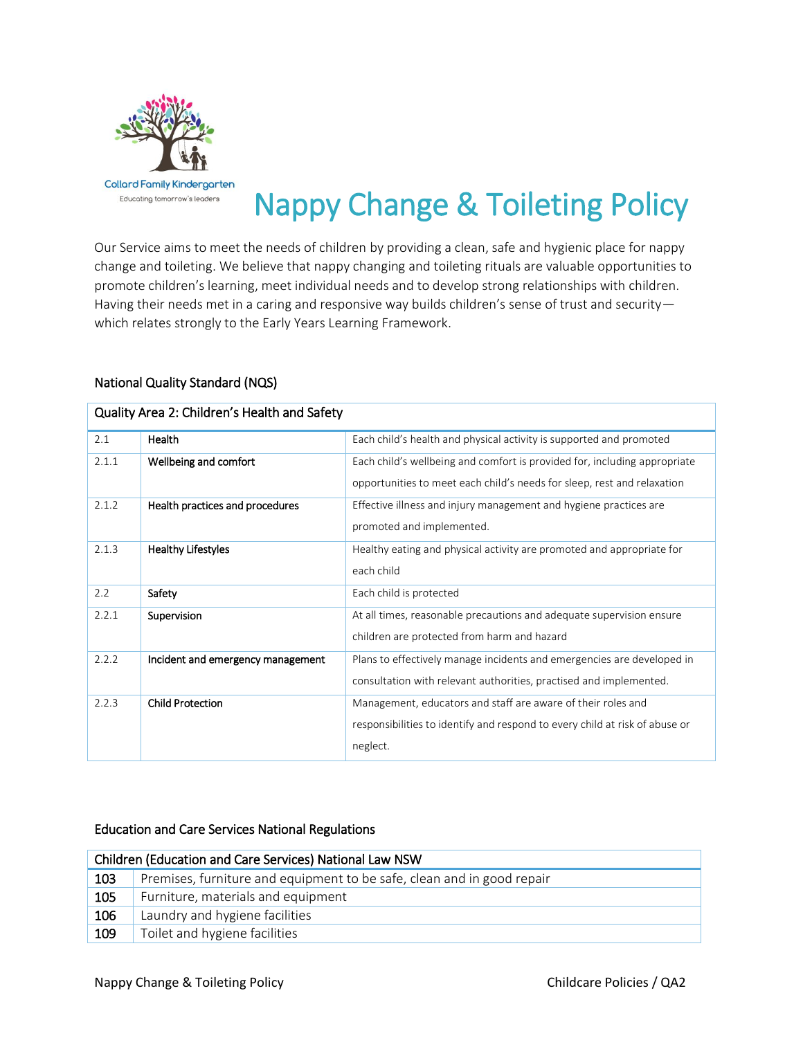

# Nappy Change & Toileting Policy

Our Service aims to meet the needs of children by providing a clean, safe and hygienic place for nappy change and toileting. We believe that nappy changing and toileting rituals are valuable opportunities to promote children's learning, meet individual needs and to develop strong relationships with children. Having their needs met in a caring and responsive way builds children's sense of trust and securitywhich relates strongly to the Early Years Learning Framework.

## National Quality Standard (NQS)

| Quality Area 2: Children's Health and Safety |                                   |                                                                                                                                                         |  |  |  |
|----------------------------------------------|-----------------------------------|---------------------------------------------------------------------------------------------------------------------------------------------------------|--|--|--|
| 2.1                                          | Health                            | Each child's health and physical activity is supported and promoted                                                                                     |  |  |  |
| 2.1.1                                        | Wellbeing and comfort             | Each child's wellbeing and comfort is provided for, including appropriate<br>opportunities to meet each child's needs for sleep, rest and relaxation    |  |  |  |
| 2.1.2                                        | Health practices and procedures   | Effective illness and injury management and hygiene practices are<br>promoted and implemented.                                                          |  |  |  |
| 2.1.3                                        | <b>Healthy Lifestyles</b>         | Healthy eating and physical activity are promoted and appropriate for<br>each child                                                                     |  |  |  |
| 2.2                                          | Safety                            | Each child is protected                                                                                                                                 |  |  |  |
| 2.2.1                                        | Supervision                       | At all times, reasonable precautions and adequate supervision ensure<br>children are protected from harm and hazard                                     |  |  |  |
| 2.2.2                                        | Incident and emergency management | Plans to effectively manage incidents and emergencies are developed in<br>consultation with relevant authorities, practised and implemented.            |  |  |  |
| 2.2.3                                        | <b>Child Protection</b>           | Management, educators and staff are aware of their roles and<br>responsibilities to identify and respond to every child at risk of abuse or<br>neglect. |  |  |  |

## Education and Care Services National Regulations

| Children (Education and Care Services) National Law NSW |                                                                        |  |  |
|---------------------------------------------------------|------------------------------------------------------------------------|--|--|
| 103                                                     | Premises, furniture and equipment to be safe, clean and in good repair |  |  |
| 105                                                     | Furniture, materials and equipment                                     |  |  |
| 106                                                     | Laundry and hygiene facilities                                         |  |  |
| 109                                                     | Toilet and hygiene facilities                                          |  |  |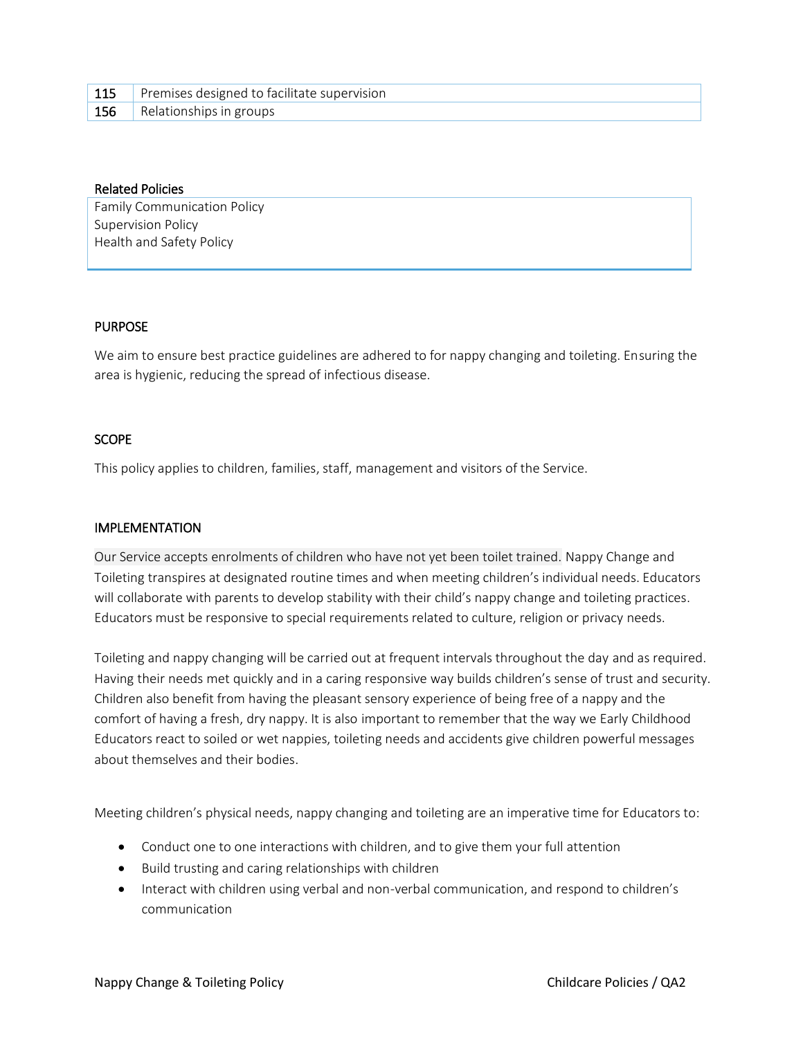| 115 | Premises designed to facilitate supervision |
|-----|---------------------------------------------|
|     | <b>156</b> Relationships in groups          |

#### Related Policies

Family Communication Policy Supervision Policy Health and Safety Policy

### PURPOSE

We aim to ensure best practice guidelines are adhered to for nappy changing and toileting. Ensuring the area is hygienic, reducing the spread of infectious disease.

## **SCOPE**

This policy applies to children, families, staff, management and visitors of the Service.

### IMPLEMENTATION

Our Service accepts enrolments of children who have not yet been toilet trained. Nappy Change and Toileting transpires at designated routine times and when meeting children's individual needs. Educators will collaborate with parents to develop stability with their child's nappy change and toileting practices. Educators must be responsive to special requirements related to culture, religion or privacy needs.

Toileting and nappy changing will be carried out at frequent intervals throughout the day and as required. Having their needs met quickly and in a caring responsive way builds children's sense of trust and security. Children also benefit from having the pleasant sensory experience of being free of a nappy and the comfort of having a fresh, dry nappy. It is also important to remember that the way we Early Childhood Educators react to soiled or wet nappies, toileting needs and accidents give children powerful messages about themselves and their bodies.

Meeting children's physical needs, nappy changing and toileting are an imperative time for Educators to:

- Conduct one to one interactions with children, and to give them your full attention
- Build trusting and caring relationships with children
- Interact with children using verbal and non-verbal communication, and respond to children's communication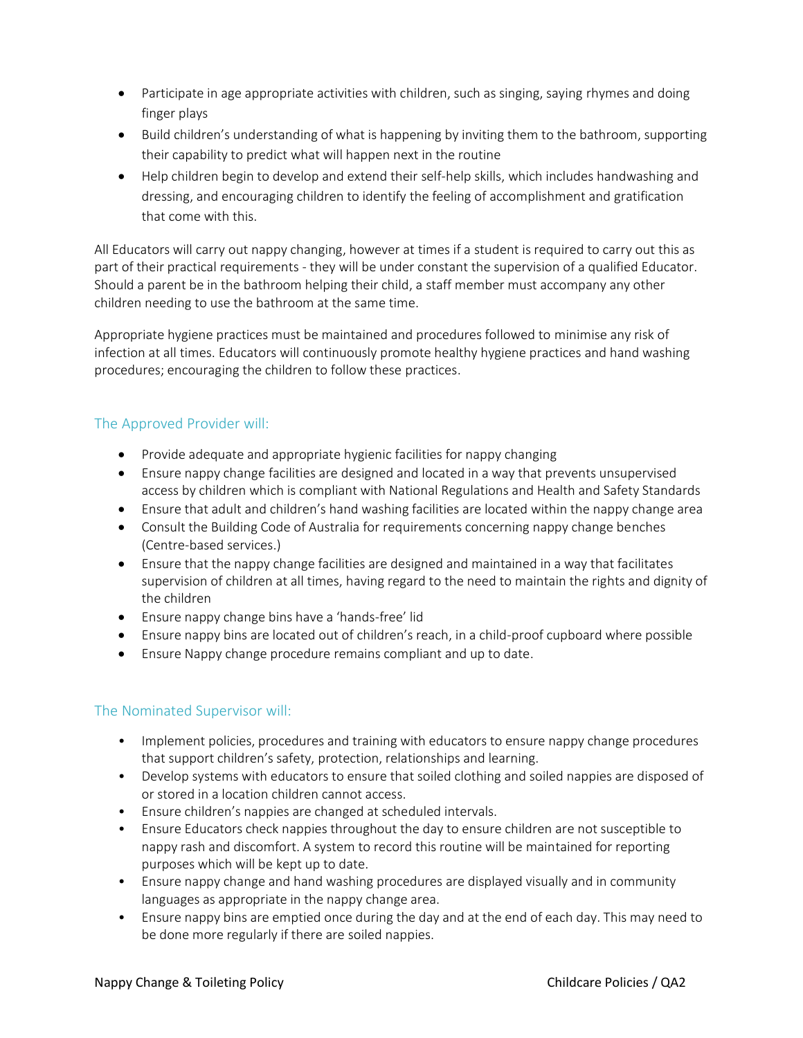- Participate in age appropriate activities with children, such as singing, saying rhymes and doing finger plays
- Build children's understanding of what is happening by inviting them to the bathroom, supporting their capability to predict what will happen next in the routine
- Help children begin to develop and extend their self-help skills, which includes handwashing and dressing, and encouraging children to identify the feeling of accomplishment and gratification that come with this.

All Educators will carry out nappy changing, however at times if a student is required to carry out this as part of their practical requirements - they will be under constant the supervision of a qualified Educator. Should a parent be in the bathroom helping their child, a staff member must accompany any other children needing to use the bathroom at the same time.

Appropriate hygiene practices must be maintained and procedures followed to minimise any risk of infection at all times. Educators will continuously promote healthy hygiene practices and hand washing procedures; encouraging the children to follow these practices.

# The Approved Provider will:

- Provide adequate and appropriate hygienic facilities for nappy changing
- Ensure nappy change facilities are designed and located in a way that prevents unsupervised access by children which is compliant with National Regulations and Health and Safety Standards
- Ensure that adult and children's hand washing facilities are located within the nappy change area
- Consult the Building Code of Australia for requirements concerning nappy change benches (Centre-based services.)
- Ensure that the nappy change facilities are designed and maintained in a way that facilitates supervision of children at all times, having regard to the need to maintain the rights and dignity of the children
- Ensure nappy change bins have a 'hands-free' lid
- Ensure nappy bins are located out of children's reach, in a child-proof cupboard where possible
- Ensure Nappy change procedure remains compliant and up to date.

# The Nominated Supervisor will:

- Implement policies, procedures and training with educators to ensure nappy change procedures that support children's safety, protection, relationships and learning.
- Develop systems with educators to ensure that soiled clothing and soiled nappies are disposed of or stored in a location children cannot access.
- Ensure children's nappies are changed at scheduled intervals.
- Ensure Educators check nappies throughout the day to ensure children are not susceptible to nappy rash and discomfort. A system to record this routine will be maintained for reporting purposes which will be kept up to date.
- Ensure nappy change and hand washing procedures are displayed visually and in community languages as appropriate in the nappy change area.
- Ensure nappy bins are emptied once during the day and at the end of each day. This may need to be done more regularly if there are soiled nappies.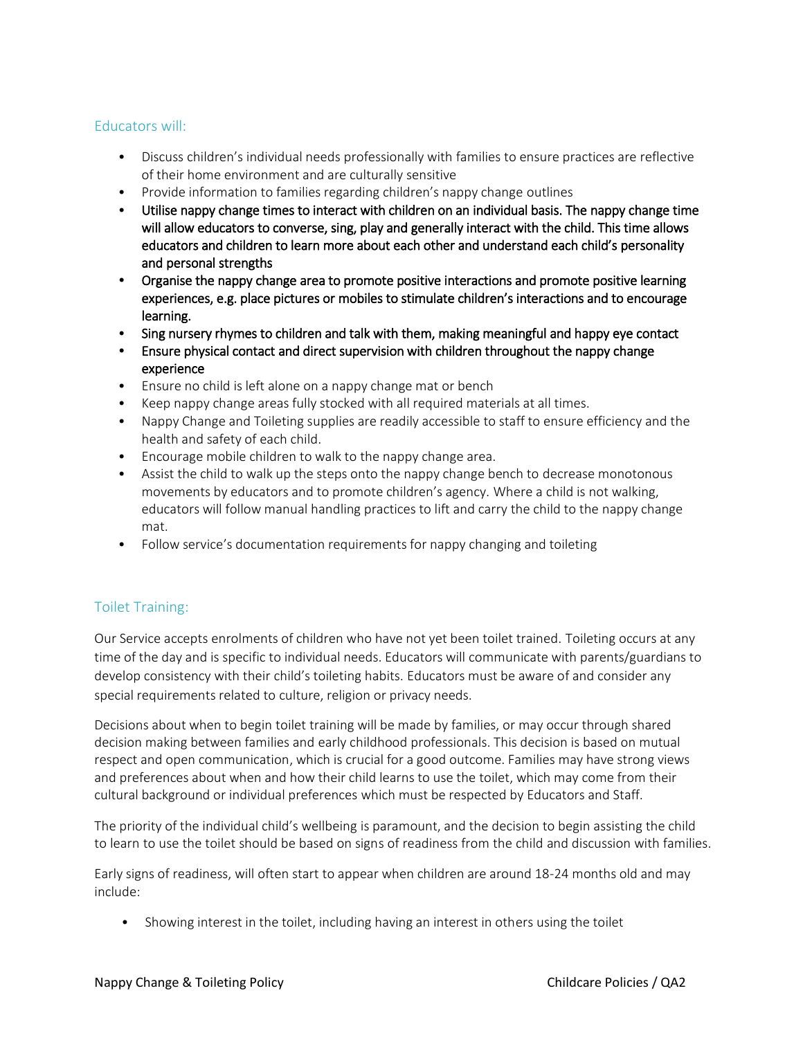# Educators will:

- Discuss children's individual needs professionally with families to ensure practices are reflective of their home environment and are culturally sensitive
- Provide information to families regarding children's nappy change outlines
- Utilise nappy change times to interact with children on an individual basis. The nappy change time will allow educators to converse, sing, play and generally interact with the child. This time allows educators and children to learn more about each other and understand each child's personality and personal strengths
- Organise the nappy change area to promote positive interactions and promote positive learning experiences, e.g. place pictures or mobiles to stimulate children's interactions and to encourage learning.
- Sing nursery rhymes to children and talk with them, making meaningful and happy eye contact
- Ensure physical contact and direct supervision with children throughout the nappy change experience
- Ensure no child is left alone on a nappy change mat or bench
- Keep nappy change areas fully stocked with all required materials at all times.
- Nappy Change and Toileting supplies are readily accessible to staff to ensure efficiency and the health and safety of each child.
- Encourage mobile children to walk to the nappy change area.
- Assist the child to walk up the steps onto the nappy change bench to decrease monotonous movements by educators and to promote children's agency. Where a child is not walking, educators will follow manual handling practices to lift and carry the child to the nappy change mat.
- Follow service's documentation requirements for nappy changing and toileting

# Toilet Training:

Our Service accepts enrolments of children who have not yet been toilet trained. Toileting occurs at any time of the day and is specific to individual needs. Educators will communicate with parents/guardians to develop consistency with their child's toileting habits. Educators must be aware of and consider any special requirements related to culture, religion or privacy needs.

Decisions about when to begin toilet training will be made by families, or may occur through shared decision making between families and early childhood professionals. This decision is based on mutual respect and open communication, which is crucial for a good outcome. Families may have strong views and preferences about when and how their child learns to use the toilet, which may come from their cultural background or individual preferences which must be respected by Educators and Staff.

The priority of the individual child's wellbeing is paramount, and the decision to begin assisting the child to learn to use the toilet should be based on signs of readiness from the child and discussion with families.

Early signs of readiness, will often start to appear when children are around 18-24 months old and may include:

• Showing interest in the toilet, including having an interest in others using the toilet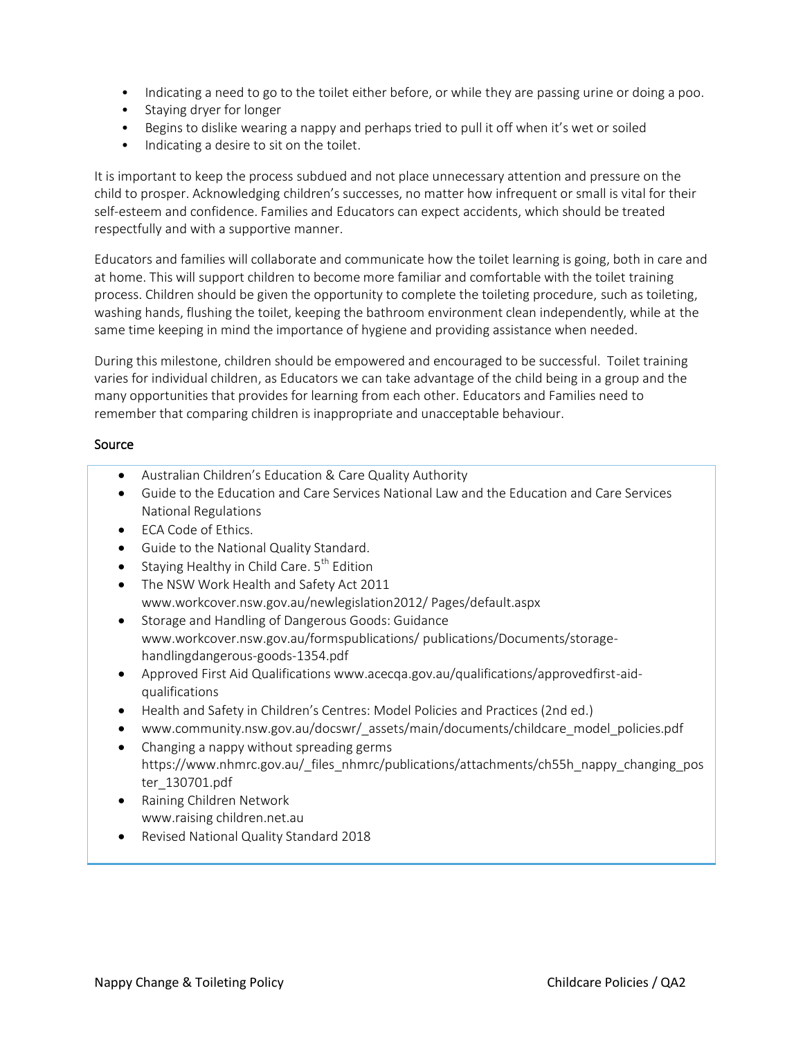- Indicating a need to go to the toilet either before, or while they are passing urine or doing a poo.
- Staying dryer for longer
- Begins to dislike wearing a nappy and perhaps tried to pull it off when it's wet or soiled
- Indicating a desire to sit on the toilet.

It is important to keep the process subdued and not place unnecessary attention and pressure on the child to prosper. Acknowledging children's successes, no matter how infrequent or small is vital for their self-esteem and confidence. Families and Educators can expect accidents, which should be treated respectfully and with a supportive manner.

Educators and families will collaborate and communicate how the toilet learning is going, both in care and at home. This will support children to become more familiar and comfortable with the toilet training process. Children should be given the opportunity to complete the toileting procedure, such as toileting, washing hands, flushing the toilet, keeping the bathroom environment clean independently, while at the same time keeping in mind the importance of hygiene and providing assistance when needed.

During this milestone, children should be empowered and encouraged to be successful. Toilet training varies for individual children, as Educators we can take advantage of the child being in a group and the many opportunities that provides for learning from each other. Educators and Families need to remember that comparing children is inappropriate and unacceptable behaviour.

### Source

- Australian Children's Education & Care Quality Authority
- Guide to the Education and Care Services National Law and the Education and Care Services National Regulations
- ECA Code of Ethics.
- Guide to the National Quality Standard.
- Staying Healthy in Child Care.  $5<sup>th</sup>$  Edition
- The NSW Work Health and Safety Act 2011 www.workcover.nsw.gov.au/newlegislation2012/ Pages/default.aspx
- **•** Storage and Handling of Dangerous Goods: Guidance www.workcover.nsw.gov.au/formspublications/ publications/Documents/storagehandlingdangerous-goods-1354.pdf
- Approved First Aid Qualifications www.acecqa.gov.au/qualifications/approvedfirst-aidqualifications
- Health and Safety in Children's Centres: Model Policies and Practices (2nd ed.)
- [www.community.nsw.gov.au/docswr/\\_assets/main/documents/childcare\\_model\\_policies.pdf](http://www.community.nsw.gov.au/docswr/_assets/main/documents/childcare_model_policies.pdf)
- Changing a nappy without spreading germs [https://www.nhmrc.gov.au/\\_files\\_nhmrc/publications/attachments/ch55h\\_nappy\\_changing\\_pos](https://www.nhmrc.gov.au/_files_nhmrc/publications/attachments/ch55h_nappy_changing_poster_130701.pdf) [ter\\_130701.pdf](https://www.nhmrc.gov.au/_files_nhmrc/publications/attachments/ch55h_nappy_changing_poster_130701.pdf)
- Raining Children Network www.raising children.net.au
- Revised National Quality Standard 2018